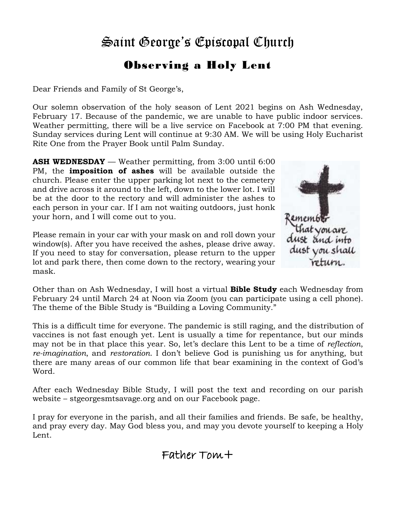## Saint George's Episcopal Church

## Observing a Holy Lent

Dear Friends and Family of St George's,

Our solemn observation of the holy season of Lent 2021 begins on Ash Wednesday, February 17. Because of the pandemic, we are unable to have public indoor services. Weather permitting, there will be a live service on Facebook at 7:00 PM that evening. Sunday services during Lent will continue at 9:30 AM. We will be using Holy Eucharist Rite One from the Prayer Book until Palm Sunday.

**ASH WEDNESDAY** — Weather permitting, from 3:00 until 6:00 PM, the **imposition of ashes** will be available outside the church. Please enter the upper parking lot next to the cemetery and drive across it around to the left, down to the lower lot. I will be at the door to the rectory and will administer the ashes to each person in your car. If I am not waiting outdoors, just honk your horn, and I will come out to you.

Please remain in your car with your mask on and roll down your window(s). After you have received the ashes, please drive away. If you need to stay for conversation, please return to the upper lot and park there, then come down to the rectory, wearing your mask.



Other than on Ash Wednesday, I will host a virtual **Bible Study** each Wednesday from February 24 until March 24 at Noon via Zoom (you can participate using a cell phone). The theme of the Bible Study is "Building a Loving Community."

This is a difficult time for everyone. The pandemic is still raging, and the distribution of vaccines is not fast enough yet. Lent is usually a time for repentance, but our minds may not be in that place this year. So, let's declare this Lent to be a time of *reflection*, *re-imagination*, and *restoration*. I don't believe God is punishing us for anything, but there are many areas of our common life that bear examining in the context of God's Word.

After each Wednesday Bible Study, I will post the text and recording on our parish website – stgeorgesmtsavage.org and on our Facebook page.

I pray for everyone in the parish, and all their families and friends. Be safe, be healthy, and pray every day. May God bless you, and may you devote yourself to keeping a Holy Lent.

Father Tom +